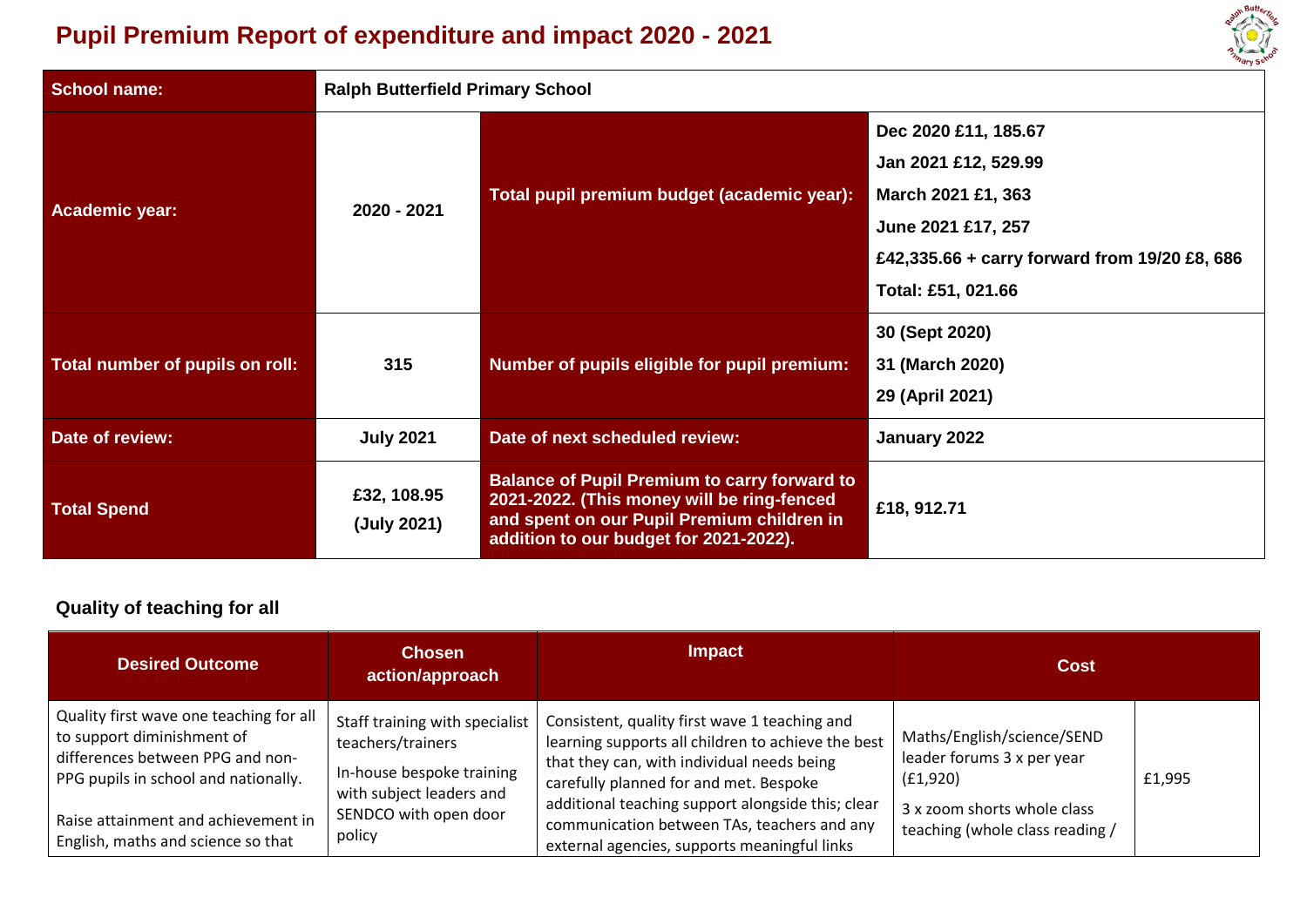# **Pupil Premium Report of expenditure and impact 2020 - 2021**

| <b>School name:</b>             | <b>Ralph Butterfield Primary School</b> |                                                                                                                                                                                           |                                                                                                                                                                 |  |
|---------------------------------|-----------------------------------------|-------------------------------------------------------------------------------------------------------------------------------------------------------------------------------------------|-----------------------------------------------------------------------------------------------------------------------------------------------------------------|--|
| <b>Academic year:</b>           | 2020 - 2021                             | Total pupil premium budget (academic year):                                                                                                                                               | Dec 2020 £11, 185.67<br>Jan 2021 £12, 529.99<br>March 2021 £1, 363<br>June 2021 £17, 257<br>£42,335.66 + carry forward from 19/20 £8, 686<br>Total: £51, 021.66 |  |
| Total number of pupils on roll: | 315                                     | Number of pupils eligible for pupil premium:                                                                                                                                              | 30 (Sept 2020)<br>31 (March 2020)<br>29 (April 2021)                                                                                                            |  |
| Date of review:                 | <b>July 2021</b>                        | Date of next scheduled review:                                                                                                                                                            | January 2022                                                                                                                                                    |  |
| <b>Total Spend</b>              | £32, 108.95<br>(July 2021)              | <b>Balance of Pupil Premium to carry forward to</b><br>2021-2022. (This money will be ring-fenced<br>and spent on our Pupil Premium children in<br>addition to our budget for 2021-2022). | £18, 912.71                                                                                                                                                     |  |

alph Butter

## **Quality of teaching for all**

| <b>Desired Outcome</b>                                                                                                                                                                                                         | <b>Chosen</b><br>action/approach                                                                                                                | <b>Impact</b>                                                                                                                                                                                                                                                                                                                                   | <b>Cost</b>                                                                                                                            |        |
|--------------------------------------------------------------------------------------------------------------------------------------------------------------------------------------------------------------------------------|-------------------------------------------------------------------------------------------------------------------------------------------------|-------------------------------------------------------------------------------------------------------------------------------------------------------------------------------------------------------------------------------------------------------------------------------------------------------------------------------------------------|----------------------------------------------------------------------------------------------------------------------------------------|--------|
| Quality first wave one teaching for all<br>to support diminishment of<br>differences between PPG and non-<br>PPG pupils in school and nationally.<br>Raise attainment and achievement in<br>English, maths and science so that | Staff training with specialist<br>teachers/trainers<br>In-house bespoke training<br>with subject leaders and<br>SENDCO with open door<br>policy | Consistent, quality first wave 1 teaching and<br>learning supports all children to achieve the best<br>that they can, with individual needs being<br>carefully planned for and met. Bespoke<br>additional teaching support alongside this; clear<br>communication between TAs, teachers and any<br>external agencies, supports meaningful links | Maths/English/science/SEND<br>leader forums 3 x per year<br>(f1,920)<br>3 x zoom shorts whole class<br>teaching (whole class reading / | £1,995 |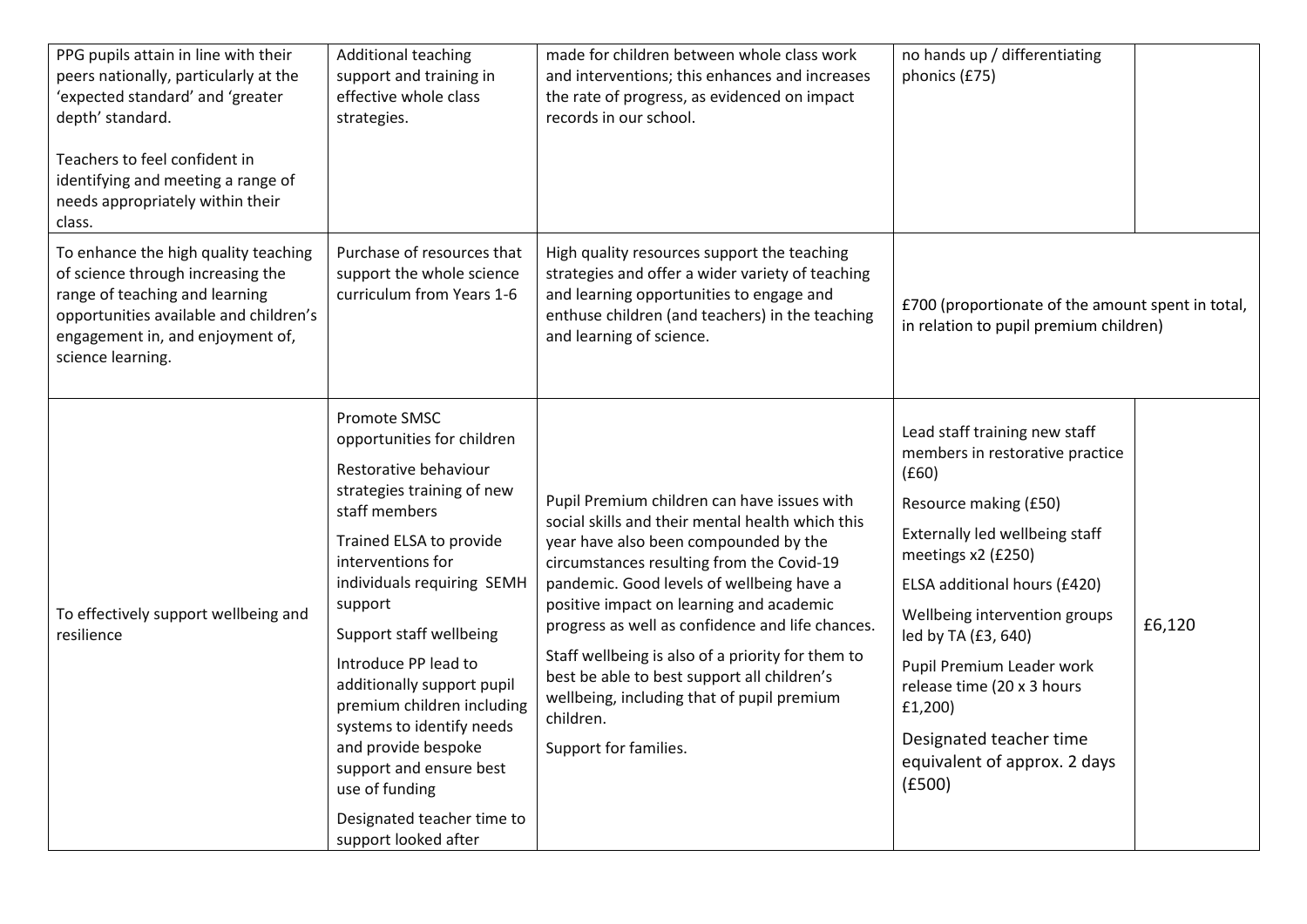| PPG pupils attain in line with their<br>peers nationally, particularly at the<br>'expected standard' and 'greater<br>depth' standard.<br>Teachers to feel confident in<br>identifying and meeting a range of<br>needs appropriately within their<br>class. | <b>Additional teaching</b><br>support and training in<br>effective whole class<br>strategies.                                                                                                                                                                                                                                                                                                                                                                                     | made for children between whole class work<br>and interventions; this enhances and increases<br>the rate of progress, as evidenced on impact<br>records in our school.                                                                                                                                                                                                                                                                                                                                                     | no hands up / differentiating<br>phonics (£75)                                                                                                                                                                                                                                                                                                                                                |        |
|------------------------------------------------------------------------------------------------------------------------------------------------------------------------------------------------------------------------------------------------------------|-----------------------------------------------------------------------------------------------------------------------------------------------------------------------------------------------------------------------------------------------------------------------------------------------------------------------------------------------------------------------------------------------------------------------------------------------------------------------------------|----------------------------------------------------------------------------------------------------------------------------------------------------------------------------------------------------------------------------------------------------------------------------------------------------------------------------------------------------------------------------------------------------------------------------------------------------------------------------------------------------------------------------|-----------------------------------------------------------------------------------------------------------------------------------------------------------------------------------------------------------------------------------------------------------------------------------------------------------------------------------------------------------------------------------------------|--------|
| To enhance the high quality teaching<br>of science through increasing the<br>range of teaching and learning<br>opportunities available and children's<br>engagement in, and enjoyment of,<br>science learning.                                             | Purchase of resources that<br>support the whole science<br>curriculum from Years 1-6                                                                                                                                                                                                                                                                                                                                                                                              | High quality resources support the teaching<br>strategies and offer a wider variety of teaching<br>and learning opportunities to engage and<br>enthuse children (and teachers) in the teaching<br>and learning of science.                                                                                                                                                                                                                                                                                                 | £700 (proportionate of the amount spent in total,<br>in relation to pupil premium children)                                                                                                                                                                                                                                                                                                   |        |
| To effectively support wellbeing and<br>resilience                                                                                                                                                                                                         | Promote SMSC<br>opportunities for children<br>Restorative behaviour<br>strategies training of new<br>staff members<br>Trained ELSA to provide<br>interventions for<br>individuals requiring SEMH<br>support<br>Support staff wellbeing<br>Introduce PP lead to<br>additionally support pupil<br>premium children including<br>systems to identify needs<br>and provide bespoke<br>support and ensure best<br>use of funding<br>Designated teacher time to<br>support looked after | Pupil Premium children can have issues with<br>social skills and their mental health which this<br>year have also been compounded by the<br>circumstances resulting from the Covid-19<br>pandemic. Good levels of wellbeing have a<br>positive impact on learning and academic<br>progress as well as confidence and life chances.<br>Staff wellbeing is also of a priority for them to<br>best be able to best support all children's<br>wellbeing, including that of pupil premium<br>children.<br>Support for families. | Lead staff training new staff<br>members in restorative practice<br>(f60)<br>Resource making (£50)<br>Externally led wellbeing staff<br>meetings x2 (£250)<br>ELSA additional hours (£420)<br>Wellbeing intervention groups<br>led by TA (£3, 640)<br>Pupil Premium Leader work<br>release time (20 x 3 hours<br>£1,200)<br>Designated teacher time<br>equivalent of approx. 2 days<br>(E500) | £6,120 |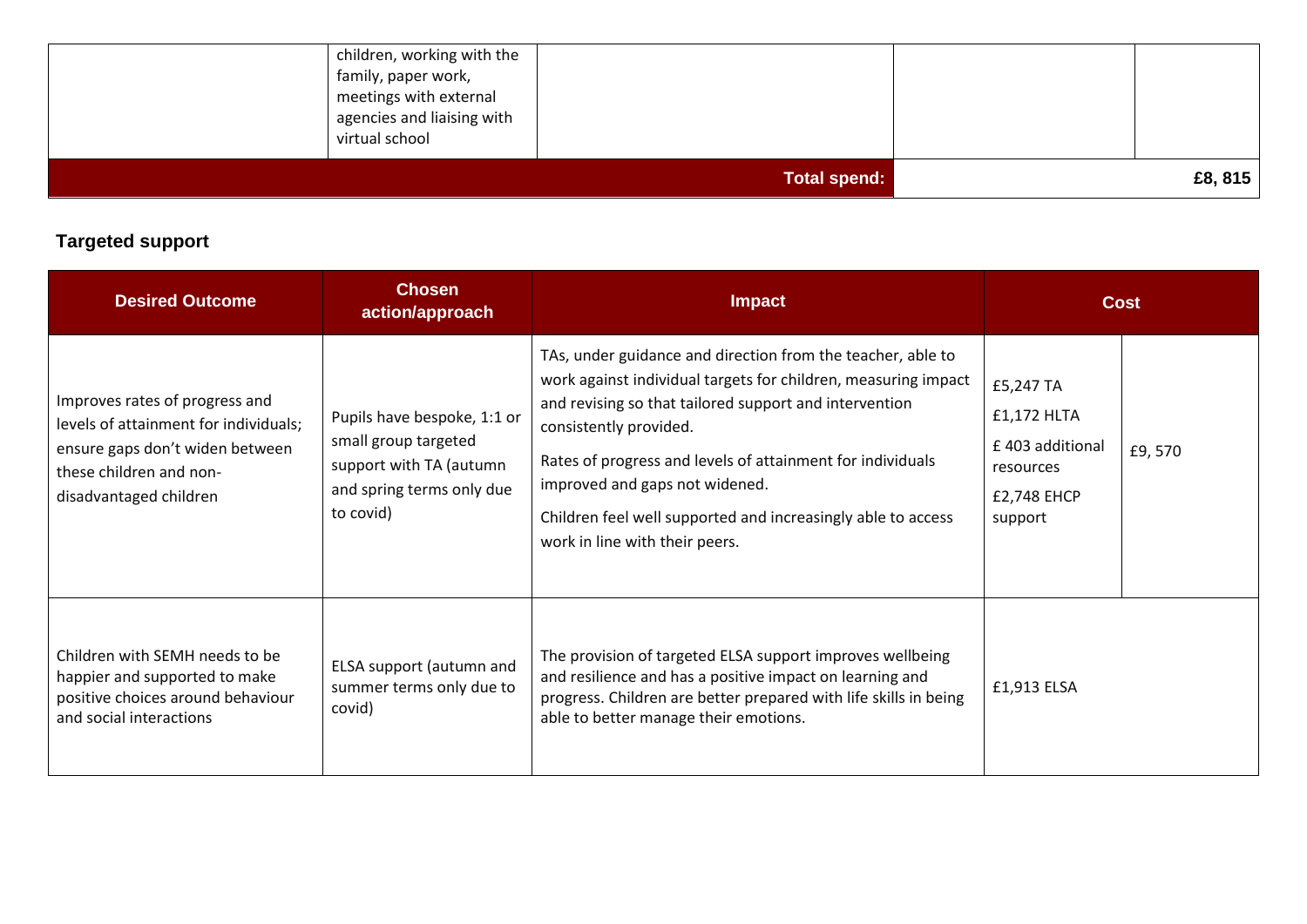| meetings with external<br>agencies and liaising with<br>virtual school | <b>Total spend:</b> | £8,815 |
|------------------------------------------------------------------------|---------------------|--------|
| children, working with the<br>family, paper work,                      |                     |        |

## **Targeted support**

| <b>Desired Outcome</b>                                                                                                                                          | <b>Chosen</b><br>action/approach                                                                                         | <b>Impact</b>                                                                                                                                                                                                                                                                                                                                                                                                       | Cost                                                                                         |
|-----------------------------------------------------------------------------------------------------------------------------------------------------------------|--------------------------------------------------------------------------------------------------------------------------|---------------------------------------------------------------------------------------------------------------------------------------------------------------------------------------------------------------------------------------------------------------------------------------------------------------------------------------------------------------------------------------------------------------------|----------------------------------------------------------------------------------------------|
| Improves rates of progress and<br>levels of attainment for individuals;<br>ensure gaps don't widen between<br>these children and non-<br>disadvantaged children | Pupils have bespoke, 1:1 or<br>small group targeted<br>support with TA (autumn<br>and spring terms only due<br>to covid) | TAs, under guidance and direction from the teacher, able to<br>work against individual targets for children, measuring impact<br>and revising so that tailored support and intervention<br>consistently provided.<br>Rates of progress and levels of attainment for individuals<br>improved and gaps not widened.<br>Children feel well supported and increasingly able to access<br>work in line with their peers. | £5,247 TA<br>£1,172 HLTA<br>£403 additional<br>£9,570<br>resources<br>£2,748 EHCP<br>support |
| Children with SEMH needs to be<br>happier and supported to make<br>positive choices around behaviour<br>and social interactions                                 | ELSA support (autumn and<br>summer terms only due to<br>covid)                                                           | The provision of targeted ELSA support improves wellbeing<br>and resilience and has a positive impact on learning and<br>progress. Children are better prepared with life skills in being<br>able to better manage their emotions.                                                                                                                                                                                  | £1,913 ELSA                                                                                  |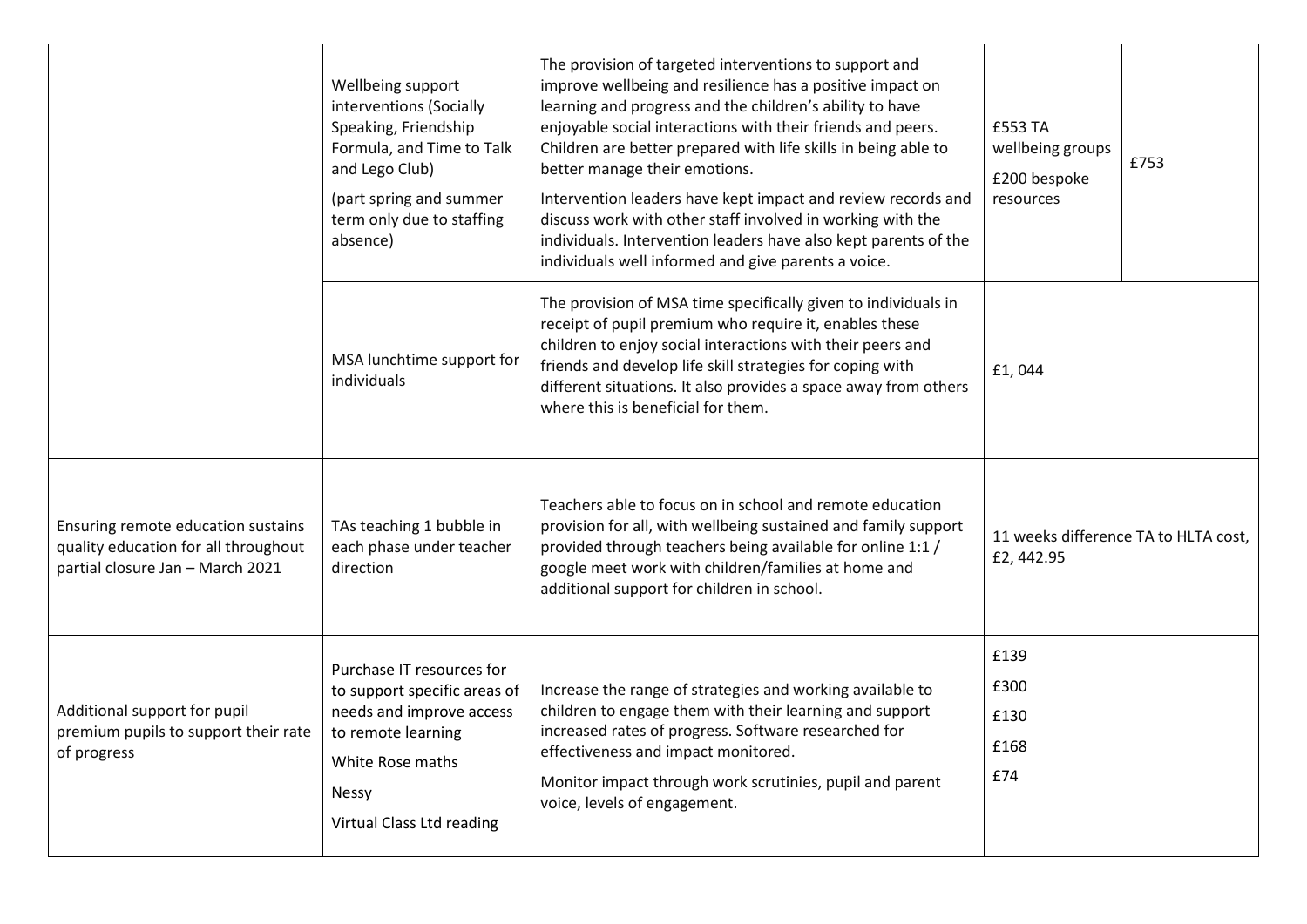|                                                                                                                | Wellbeing support<br>interventions (Socially<br>Speaking, Friendship<br>Formula, and Time to Talk<br>and Lego Club)<br>(part spring and summer<br>term only due to staffing<br>absence) | The provision of targeted interventions to support and<br>improve wellbeing and resilience has a positive impact on<br>learning and progress and the children's ability to have<br>enjoyable social interactions with their friends and peers.<br>Children are better prepared with life skills in being able to<br>better manage their emotions.<br>Intervention leaders have kept impact and review records and<br>discuss work with other staff involved in working with the<br>individuals. Intervention leaders have also kept parents of the<br>individuals well informed and give parents a voice. | £553 TA<br>wellbeing groups<br>£200 bespoke<br>resources | £753                                 |
|----------------------------------------------------------------------------------------------------------------|-----------------------------------------------------------------------------------------------------------------------------------------------------------------------------------------|-----------------------------------------------------------------------------------------------------------------------------------------------------------------------------------------------------------------------------------------------------------------------------------------------------------------------------------------------------------------------------------------------------------------------------------------------------------------------------------------------------------------------------------------------------------------------------------------------------------|----------------------------------------------------------|--------------------------------------|
|                                                                                                                | MSA lunchtime support for<br>individuals                                                                                                                                                | The provision of MSA time specifically given to individuals in<br>receipt of pupil premium who require it, enables these<br>children to enjoy social interactions with their peers and<br>friends and develop life skill strategies for coping with<br>different situations. It also provides a space away from others<br>where this is beneficial for them.                                                                                                                                                                                                                                              | £1,044                                                   |                                      |
| Ensuring remote education sustains<br>quality education for all throughout<br>partial closure Jan - March 2021 | TAs teaching 1 bubble in<br>each phase under teacher<br>direction                                                                                                                       | Teachers able to focus on in school and remote education<br>provision for all, with wellbeing sustained and family support<br>provided through teachers being available for online 1:1 /<br>google meet work with children/families at home and<br>additional support for children in school.                                                                                                                                                                                                                                                                                                             | £2,442.95                                                | 11 weeks difference TA to HLTA cost, |
| Additional support for pupil<br>premium pupils to support their rate<br>of progress                            | Purchase IT resources for<br>to support specific areas of<br>needs and improve access<br>to remote learning<br>White Rose maths<br>Nessy<br>Virtual Class Ltd reading                   | Increase the range of strategies and working available to<br>children to engage them with their learning and support<br>increased rates of progress. Software researched for<br>effectiveness and impact monitored.<br>Monitor impact through work scrutinies, pupil and parent<br>voice, levels of engagement.                                                                                                                                                                                                                                                                                           | £139<br>£300<br>£130<br>£168<br>£74                      |                                      |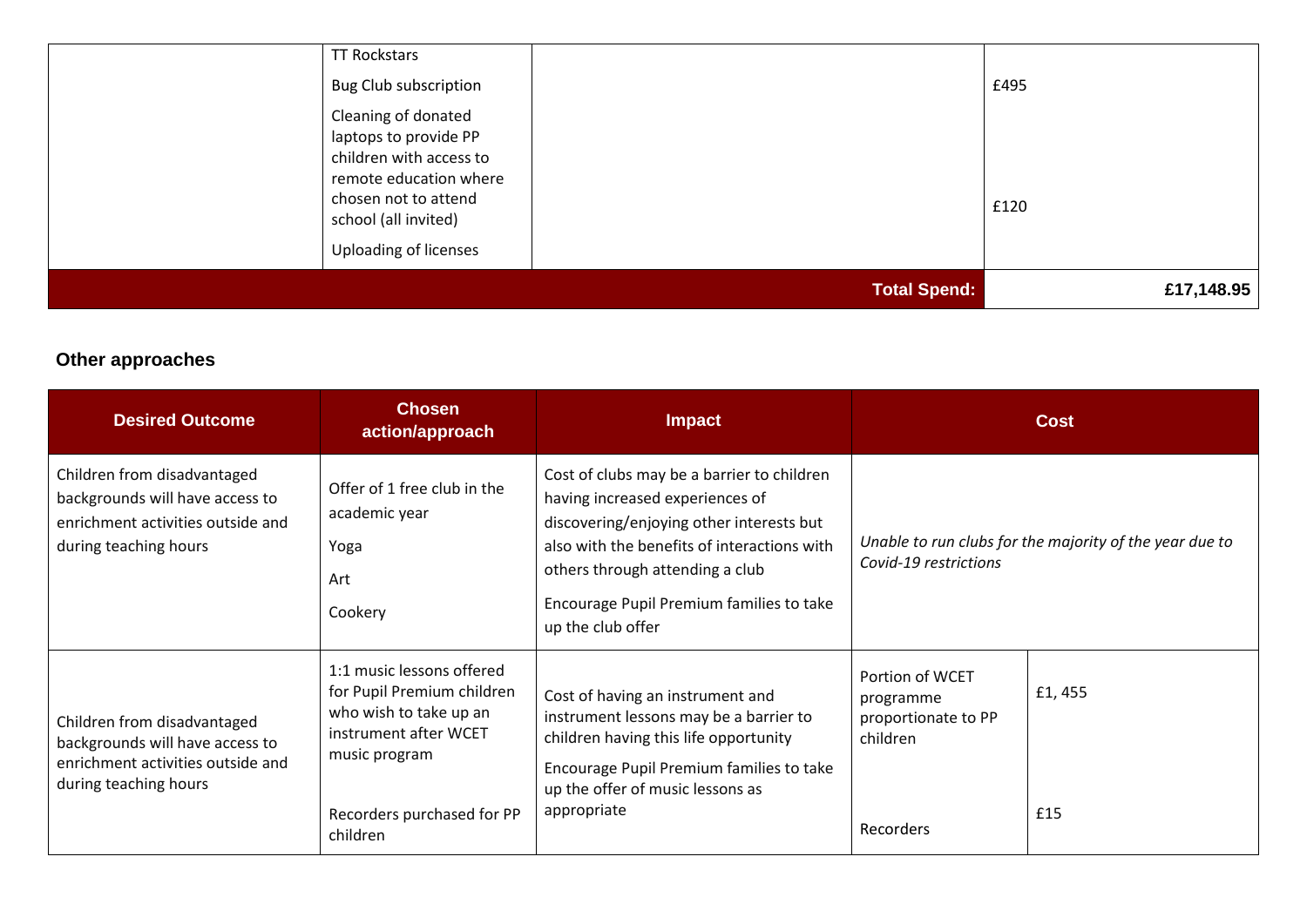|                                              | <b>Total Spend:</b> | £17,148.95 |
|----------------------------------------------|---------------------|------------|
| <b>Uploading of licenses</b>                 |                     |            |
| chosen not to attend<br>school (all invited) |                     | £120       |
| remote education where                       |                     |            |
| children with access to                      |                     |            |
| laptops to provide PP                        |                     |            |
| Cleaning of donated                          |                     |            |
| <b>Bug Club subscription</b>                 |                     | £495       |
| <b>TT Rockstars</b>                          |                     |            |

## **Other approaches**

| <b>Desired Outcome</b>                                                                                                       | <b>Chosen</b><br>action/approach                                                                                                                                      | <b>Impact</b>                                                                                                                                                                                                                                                                | <b>Cost</b>                                                                  |                                                         |
|------------------------------------------------------------------------------------------------------------------------------|-----------------------------------------------------------------------------------------------------------------------------------------------------------------------|------------------------------------------------------------------------------------------------------------------------------------------------------------------------------------------------------------------------------------------------------------------------------|------------------------------------------------------------------------------|---------------------------------------------------------|
| Children from disadvantaged<br>backgrounds will have access to<br>enrichment activities outside and<br>during teaching hours | Offer of 1 free club in the<br>academic year<br>Yoga<br>Art<br>Cookery                                                                                                | Cost of clubs may be a barrier to children<br>having increased experiences of<br>discovering/enjoying other interests but<br>also with the benefits of interactions with<br>others through attending a club<br>Encourage Pupil Premium families to take<br>up the club offer | Covid-19 restrictions                                                        | Unable to run clubs for the majority of the year due to |
| Children from disadvantaged<br>backgrounds will have access to<br>enrichment activities outside and<br>during teaching hours | 1:1 music lessons offered<br>for Pupil Premium children<br>who wish to take up an<br>instrument after WCET<br>music program<br>Recorders purchased for PP<br>children | Cost of having an instrument and<br>instrument lessons may be a barrier to<br>children having this life opportunity<br>Encourage Pupil Premium families to take<br>up the offer of music lessons as<br>appropriate                                                           | Portion of WCET<br>programme<br>proportionate to PP<br>children<br>Recorders | £1,455<br>£15                                           |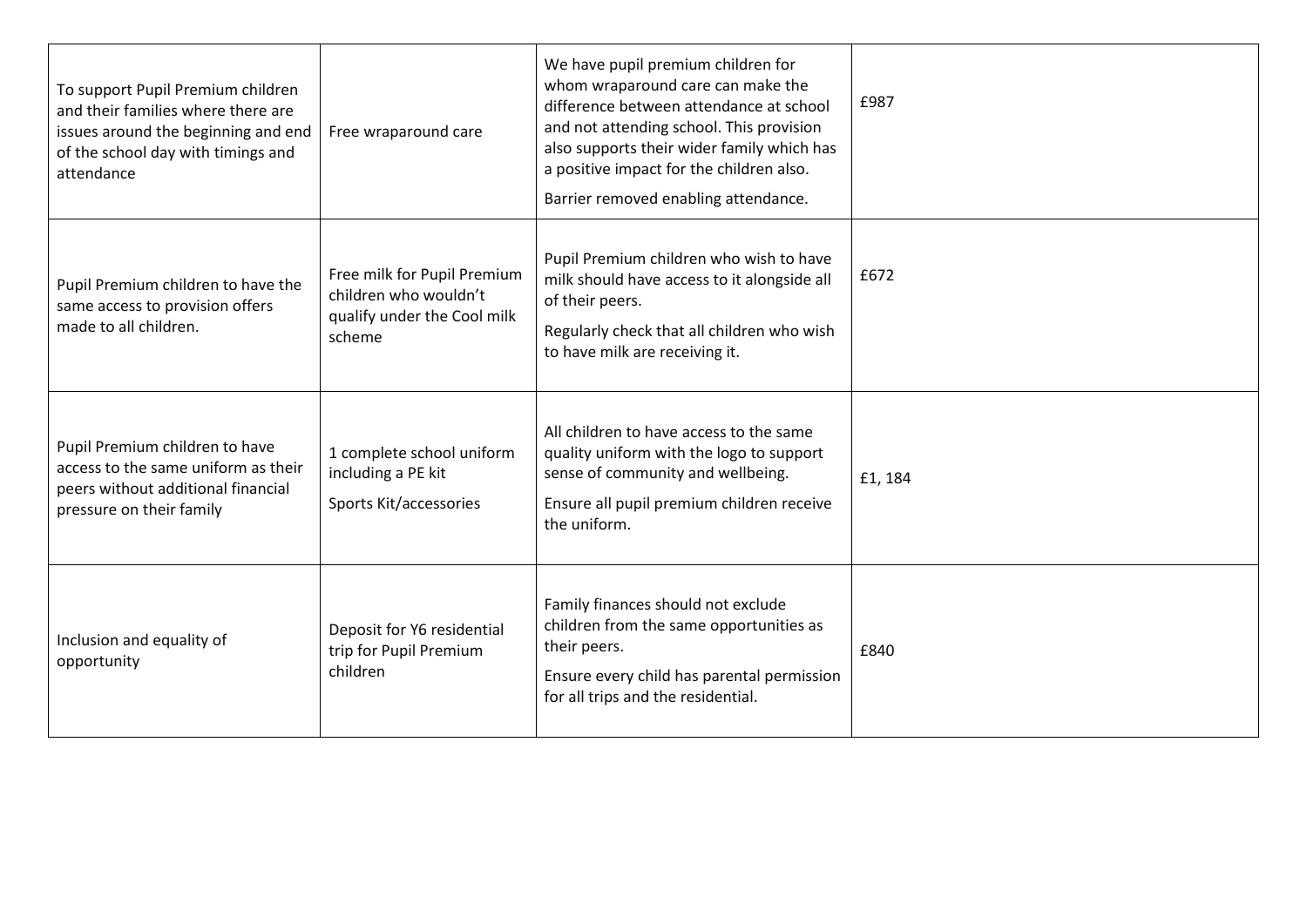| To support Pupil Premium children<br>and their families where there are<br>issues around the beginning and end<br>of the school day with timings and<br>attendance | Free wraparound care                                                                          | We have pupil premium children for<br>whom wraparound care can make the<br>difference between attendance at school<br>and not attending school. This provision<br>also supports their wider family which has<br>a positive impact for the children also.<br>Barrier removed enabling attendance. | £987    |
|--------------------------------------------------------------------------------------------------------------------------------------------------------------------|-----------------------------------------------------------------------------------------------|--------------------------------------------------------------------------------------------------------------------------------------------------------------------------------------------------------------------------------------------------------------------------------------------------|---------|
| Pupil Premium children to have the<br>same access to provision offers<br>made to all children.                                                                     | Free milk for Pupil Premium<br>children who wouldn't<br>qualify under the Cool milk<br>scheme | Pupil Premium children who wish to have<br>milk should have access to it alongside all<br>of their peers.<br>Regularly check that all children who wish<br>to have milk are receiving it.                                                                                                        | £672    |
| Pupil Premium children to have<br>access to the same uniform as their<br>peers without additional financial<br>pressure on their family                            | 1 complete school uniform<br>including a PE kit<br>Sports Kit/accessories                     | All children to have access to the same<br>quality uniform with the logo to support<br>sense of community and wellbeing.<br>Ensure all pupil premium children receive<br>the uniform.                                                                                                            | £1, 184 |
| Inclusion and equality of<br>opportunity                                                                                                                           | Deposit for Y6 residential<br>trip for Pupil Premium<br>children                              | Family finances should not exclude<br>children from the same opportunities as<br>their peers.<br>Ensure every child has parental permission<br>for all trips and the residential.                                                                                                                | £840    |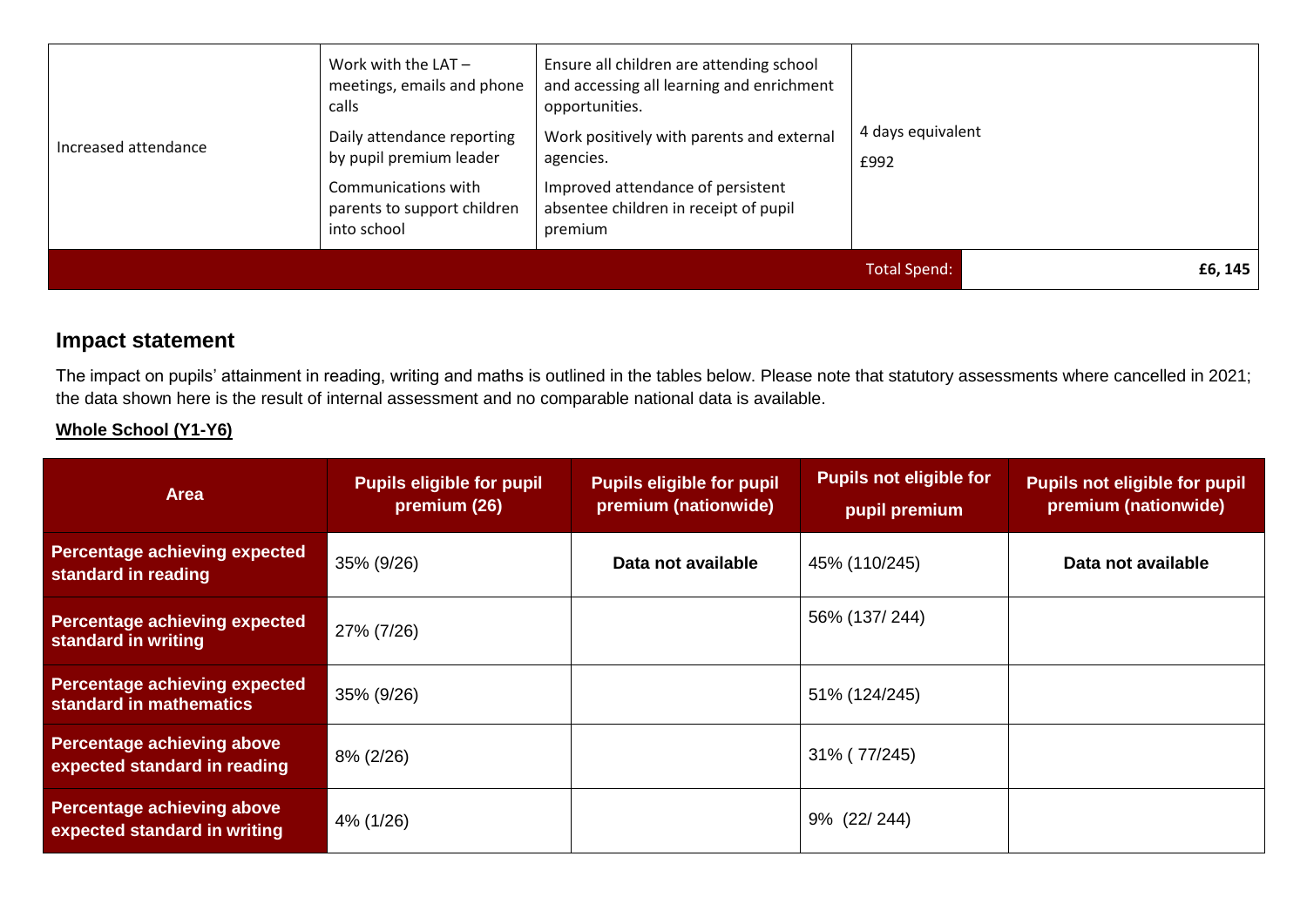| Increased attendance | Work with the $LAT -$<br>meetings, emails and phone<br>calls<br>Daily attendance reporting<br>by pupil premium leader<br>Communications with<br>parents to support children<br>into school | Ensure all children are attending school<br>and accessing all learning and enrichment<br>opportunities.<br>Work positively with parents and external<br>agencies.<br>Improved attendance of persistent<br>absentee children in receipt of pupil<br>premium | 4 days equivalent<br>£992 |         |
|----------------------|--------------------------------------------------------------------------------------------------------------------------------------------------------------------------------------------|------------------------------------------------------------------------------------------------------------------------------------------------------------------------------------------------------------------------------------------------------------|---------------------------|---------|
|                      |                                                                                                                                                                                            |                                                                                                                                                                                                                                                            | <b>Total Spend:</b>       | £6, 145 |

### **Impact statement**

The impact on pupils' attainment in reading, writing and maths is outlined in the tables below. Please note that statutory assessments where cancelled in 2021; the data shown here is the result of internal assessment and no comparable national data is available.

#### **Whole School (Y1-Y6)**

| <b>Area</b>                                                       | <b>Pupils eligible for pupil</b><br>premium (26) | <b>Pupils eligible for pupil</b><br>premium (nationwide) | <b>Pupils not eligible for</b><br>pupil premium | <b>Pupils not eligible for pupil</b><br>premium (nationwide) |
|-------------------------------------------------------------------|--------------------------------------------------|----------------------------------------------------------|-------------------------------------------------|--------------------------------------------------------------|
| Percentage achieving expected<br>standard in reading              | 35% (9/26)                                       | Data not available                                       | 45% (110/245)                                   | Data not available                                           |
| <b>Percentage achieving expected</b><br>standard in writing       | 27% (7/26)                                       |                                                          | 56% (137/244)                                   |                                                              |
| <b>Percentage achieving expected</b><br>standard in mathematics   | 35% (9/26)                                       |                                                          | 51% (124/245)                                   |                                                              |
| <b>Percentage achieving above</b><br>expected standard in reading | 8% (2/26)                                        |                                                          | 31% (77/245)                                    |                                                              |
| <b>Percentage achieving above</b><br>expected standard in writing | 4% (1/26)                                        |                                                          | 9% (22/244)                                     |                                                              |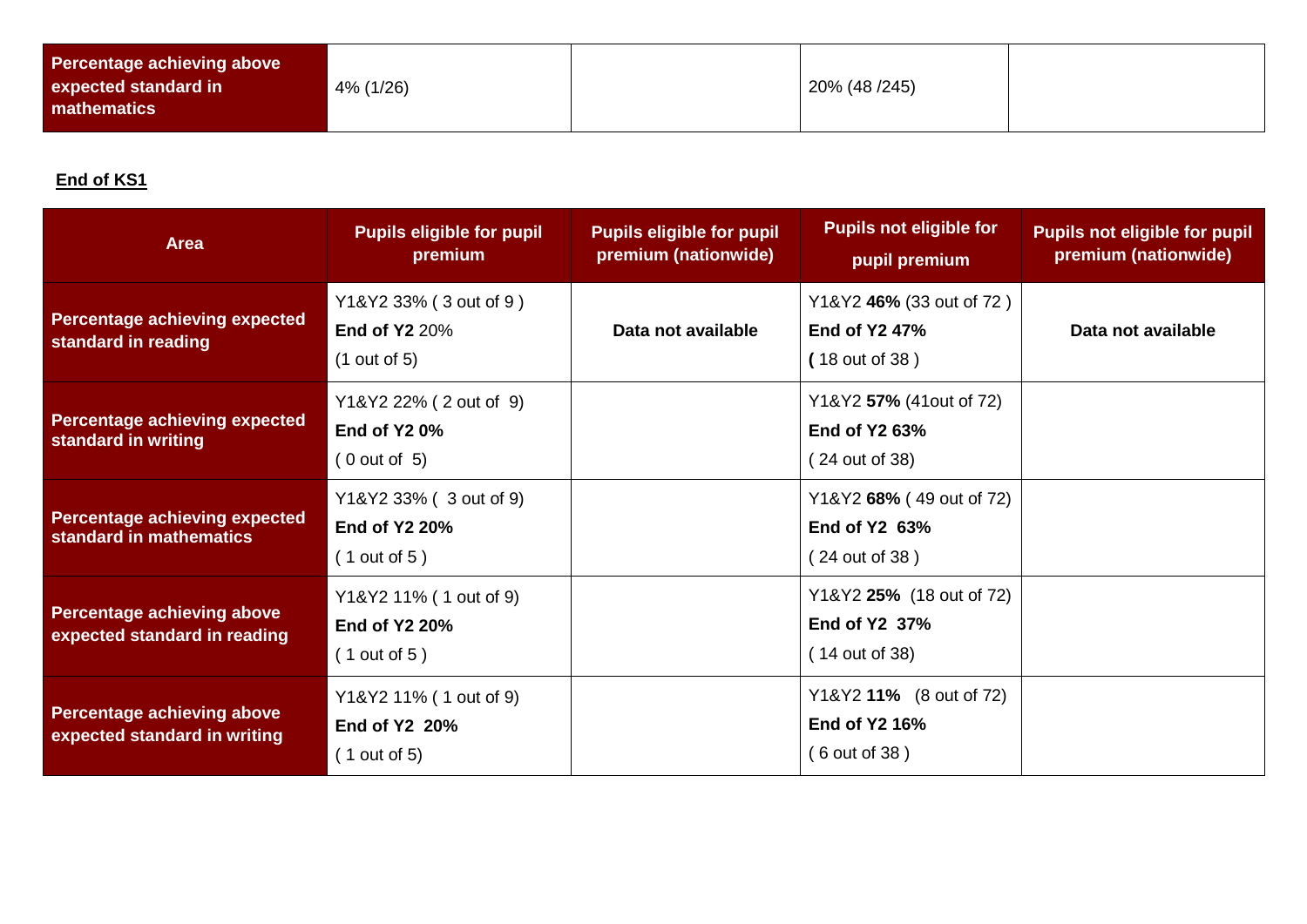| Percentage achieving above<br>expected standard in<br>mathematics | 4% (1/26) |  | 20% (48/245) |  |
|-------------------------------------------------------------------|-----------|--|--------------|--|
|-------------------------------------------------------------------|-----------|--|--------------|--|

### **End of KS1**

| <b>Area</b>                                                       | <b>Pupils eligible for pupil</b><br>premium                    | <b>Pupils eligible for pupil</b><br>premium (nationwide) | <b>Pupils not eligible for</b><br>pupil premium                   | <b>Pupils not eligible for pupil</b><br>premium (nationwide) |
|-------------------------------------------------------------------|----------------------------------------------------------------|----------------------------------------------------------|-------------------------------------------------------------------|--------------------------------------------------------------|
| Percentage achieving expected<br>standard in reading              | Y1&Y2 33% (3 out of 9)<br><b>End of Y2 20%</b><br>(1 out of 5) | Data not available                                       | Y1&Y2 46% (33 out of 72)<br>End of Y2 47%<br>(18 out of 38)       | Data not available                                           |
| <b>Percentage achieving expected</b><br>standard in writing       | Y1&Y2 22% (2 out of 9)<br><b>End of Y2 0%</b><br>(0 out of 5)  |                                                          | Y1&Y2 57% (41out of 72)<br>End of Y2 63%<br>(24 out of 38)        |                                                              |
| Percentage achieving expected<br>standard in mathematics          | Y1&Y2 33% (3 out of 9)<br><b>End of Y2 20%</b><br>(1 out of 5) |                                                          | Y1&Y2 68% (49 out of 72)<br>End of Y2 63%<br>(24 out of 38)       |                                                              |
| Percentage achieving above<br>expected standard in reading        | Y1&Y2 11% (1 out of 9)<br><b>End of Y2 20%</b><br>(1 out of 5) |                                                          | Y1&Y2 25% (18 out of 72)<br>End of Y2 37%<br>(14 out of 38)       |                                                              |
| <b>Percentage achieving above</b><br>expected standard in writing | Y1&Y2 11% (1 out of 9)<br>End of Y2 20%<br>(1 out of 5)        |                                                          | Y1&Y2 11% (8 out of 72)<br><b>End of Y2 16%</b><br>(6 out of 38 ) |                                                              |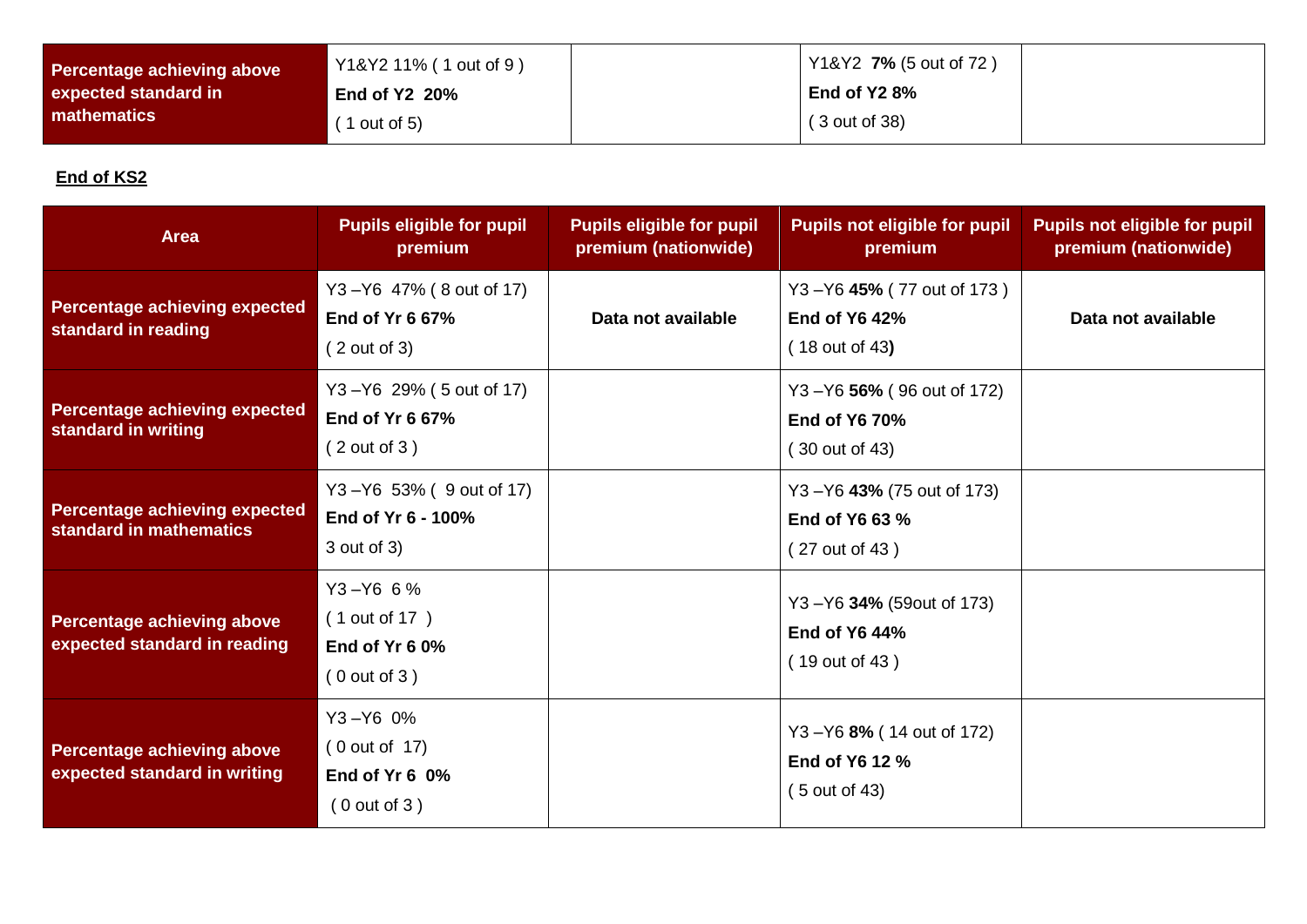| Percentage achieving above | Y1&Y2 11% (1 out of 9) | Y1&Y2 7% (5 out of 72) |  |
|----------------------------|------------------------|------------------------|--|
| expected standard in       | End of $Y2$ 20%        | End of Y2 8%           |  |
| <b>I</b> mathematics       | $'$ 1 out of 5)        | $(3$ out of 38)        |  |

### **End of KS2**

| <b>Area</b>                                                       | <b>Pupils eligible for pupil</b><br>premium                       | <b>Pupils eligible for pupil</b><br>premium (nationwide) | <b>Pupils not eligible for pupil</b><br>premium                     | <b>Pupils not eligible for pupil</b><br>premium (nationwide) |
|-------------------------------------------------------------------|-------------------------------------------------------------------|----------------------------------------------------------|---------------------------------------------------------------------|--------------------------------------------------------------|
| <b>Percentage achieving expected</b><br>standard in reading       | Y3-Y6 47% (8 out of 17)<br>End of Yr 6 67%<br>(2 out of 3)        | Data not available                                       | Y3-Y6 45% (77 out of 173)<br><b>End of Y6 42%</b><br>(18 out of 43) | Data not available                                           |
| <b>Percentage achieving expected</b><br>standard in writing       | Y3-Y6 29% (5 out of 17)<br><b>End of Yr 6 67%</b><br>(2 out of 3) |                                                          | Y3-Y6 56% (96 out of 172)<br><b>End of Y6 70%</b><br>(30 out of 43) |                                                              |
| <b>Percentage achieving expected</b><br>standard in mathematics   | Y3-Y6 53% (9 out of 17)<br>End of Yr 6 - 100%<br>3 out of 3)      |                                                          | Y3 - Y6 43% (75 out of 173)<br>End of Y6 63 %<br>(27 out of 43)     |                                                              |
| <b>Percentage achieving above</b><br>expected standard in reading | $Y3 - Y66$ 6%<br>(1 out of 17)<br>End of Yr 6 0%<br>(0 out of 3)  |                                                          | Y3-Y6 34% (59out of 173)<br><b>End of Y6 44%</b><br>(19 out of 43)  |                                                              |
| <b>Percentage achieving above</b><br>expected standard in writing | $Y3 - Y6$ 0%<br>(0 out of 17)<br>End of Yr 6 0%<br>(0 out of 3)   |                                                          | Y3-Y6 8% (14 out of 172)<br>End of Y6 12 %<br>(5 out of 43)         |                                                              |